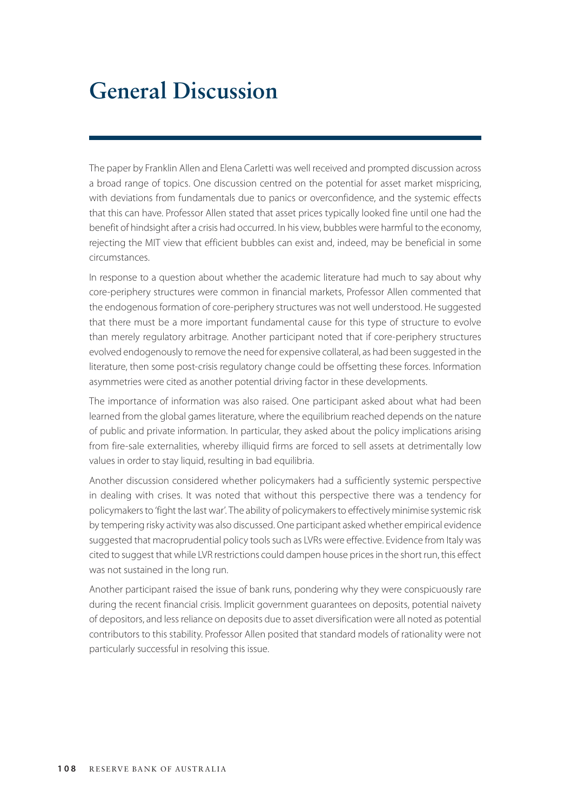## **General Discussion**

The paper by Franklin Allen and Elena Carletti was well received and prompted discussion across a broad range of topics. One discussion centred on the potential for asset market mispricing, with deviations from fundamentals due to panics or overconfidence, and the systemic effects that this can have. Professor Allen stated that asset prices typically looked fine until one had the benefit of hindsight after a crisis had occurred. In his view, bubbles were harmful to the economy, rejecting the MIT view that efficient bubbles can exist and, indeed, may be beneficial in some circumstances.

In response to a question about whether the academic literature had much to say about why core-periphery structures were common in financial markets, Professor Allen commented that the endogenous formation of core-periphery structures was not well understood. He suggested that there must be a more important fundamental cause for this type of structure to evolve than merely regulatory arbitrage. Another participant noted that if core-periphery structures evolved endogenously to remove the need for expensive collateral, as had been suggested in the literature, then some post-crisis regulatory change could be offsetting these forces. Information asymmetries were cited as another potential driving factor in these developments.

The importance of information was also raised. One participant asked about what had been learned from the global games literature, where the equilibrium reached depends on the nature of public and private information. In particular, they asked about the policy implications arising from fire-sale externalities, whereby illiquid firms are forced to sell assets at detrimentally low values in order to stay liquid, resulting in bad equilibria.

Another discussion considered whether policymakers had a sufficiently systemic perspective in dealing with crises. It was noted that without this perspective there was a tendency for policymakers to 'fight the last war'. The ability of policymakers to effectively minimise systemic risk by tempering risky activity was also discussed. One participant asked whether empirical evidence suggested that macroprudential policy tools such as LVRs were effective. Evidence from Italy was cited to suggest that while LVR restrictions could dampen house prices in the short run, this effect was not sustained in the long run.

Another participant raised the issue of bank runs, pondering why they were conspicuously rare during the recent financial crisis. Implicit government guarantees on deposits, potential naivety of depositors, and less reliance on deposits due to asset diversification were all noted as potential contributors to this stability. Professor Allen posited that standard models of rationality were not particularly successful in resolving this issue.